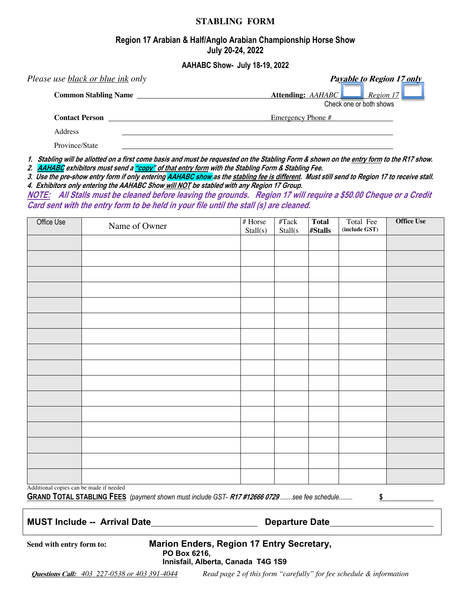#### **STABLING FORM**

## **Region 17 Arabian & Half/Anglo Arabian Championship Horse Show July 20-24, 2022**

**AAHABC Show- July 18-19, 2022**

| Please use <u>black or blue ink</u> only | <b>Payable to Region 17 only</b>                          |  |  |  |  |
|------------------------------------------|-----------------------------------------------------------|--|--|--|--|
| <b>Common Stabling Name</b>              | Attending: AAHABC<br>Region 17<br>Check one or both shows |  |  |  |  |
| <b>Contact Person</b>                    | Emergency Phone #                                         |  |  |  |  |
| Address                                  |                                                           |  |  |  |  |
| Province/State                           |                                                           |  |  |  |  |

**1. Stabling will be allotted on a first come basis and must be requested on the Stabling Form & shown on the entry form to the R17 show. 2. AAHABC exhibitors must send a "copy" of that entry form with the Stabling Form & Stabling Fee.** 

**3. Use the pre-show entry form if only entering AAHABC show as the stabling fee is different. Must still send to Region 17 to receive stall. 4. Exhibitors only entering the AAHABC Show will NOT be stabled with any Region 17 Group.**

**NOTE: All Stalls must be cleaned before leaving the grounds. Region 17 will require a \$50.00 Cheque or a Credit Card sent with the entry form to be held in your file until the stall (s) are cleaned.** 

| Office Use                              | Name of Owner | $\#$ Horse<br>Stall(s) | $\operatorname{\#Tack}$<br>Stall(s | <b>Total</b><br>#Stalls | Total Fee<br>(include GST) | <b>Office Use</b> |  |
|-----------------------------------------|---------------|------------------------|------------------------------------|-------------------------|----------------------------|-------------------|--|
|                                         |               |                        |                                    |                         |                            |                   |  |
|                                         |               |                        |                                    |                         |                            |                   |  |
|                                         |               |                        |                                    |                         |                            |                   |  |
|                                         |               |                        |                                    |                         |                            |                   |  |
|                                         |               |                        |                                    |                         |                            |                   |  |
|                                         |               |                        |                                    |                         |                            |                   |  |
|                                         |               |                        |                                    |                         |                            |                   |  |
|                                         |               |                        |                                    |                         |                            |                   |  |
|                                         |               |                        |                                    |                         |                            |                   |  |
|                                         |               |                        |                                    |                         |                            |                   |  |
|                                         |               |                        |                                    |                         |                            |                   |  |
|                                         |               |                        |                                    |                         |                            |                   |  |
|                                         |               |                        |                                    |                         |                            |                   |  |
|                                         |               |                        |                                    |                         |                            |                   |  |
|                                         |               |                        |                                    |                         |                            |                   |  |
|                                         |               |                        |                                    |                         |                            |                   |  |
| Additional copies can be made if needed |               |                        |                                    |                         |                            |                   |  |

**GRAND TOTAL STABLING FEES** *(payment shown must include GST-* **R17 #12666 0729** ...*....see fee schedule........* **\$**

## **MUST Include -- Arrival Date Departure Date**

**Send with entry form to: Marion Enders, Region 17 Entry Secretary, PO Box 6216,**

**Innisfail, Alberta, Canada T4G 1S9**